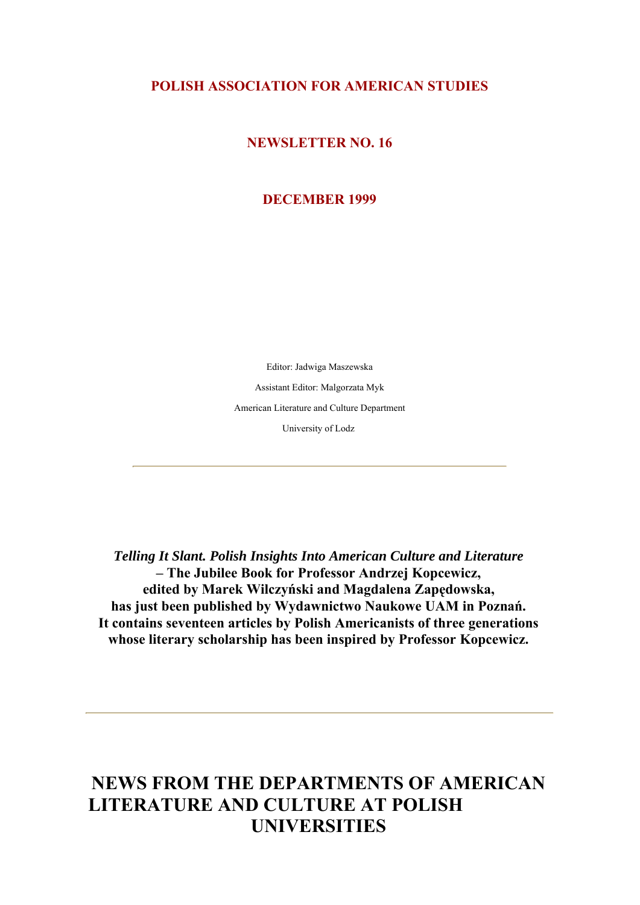# **POLISH ASSOCIATION FOR AMERICAN STUDIES**

### **NEWSLETTER NO. 16**

### **DECEMBER 1999**

Editor: Jadwiga Maszewska Assistant Editor: Malgorzata Myk American Literature and Culture Department University of Lodz

*Telling It Slant. Polish Insights Into American Culture and Literature* **– The Jubilee Book for Professor Andrzej Kopcewicz, edited by Marek Wilczyński and Magdalena Zapędowska, has just been published by Wydawnictwo Naukowe UAM in Poznań. It contains seventeen articles by Polish Americanists of three generations whose literary scholarship has been inspired by Professor Kopcewicz.**

# **NEWS FROM THE DEPARTMENTS OF AMERICAN LITERATURE AND CULTURE AT POLISH UNIVERSITIES**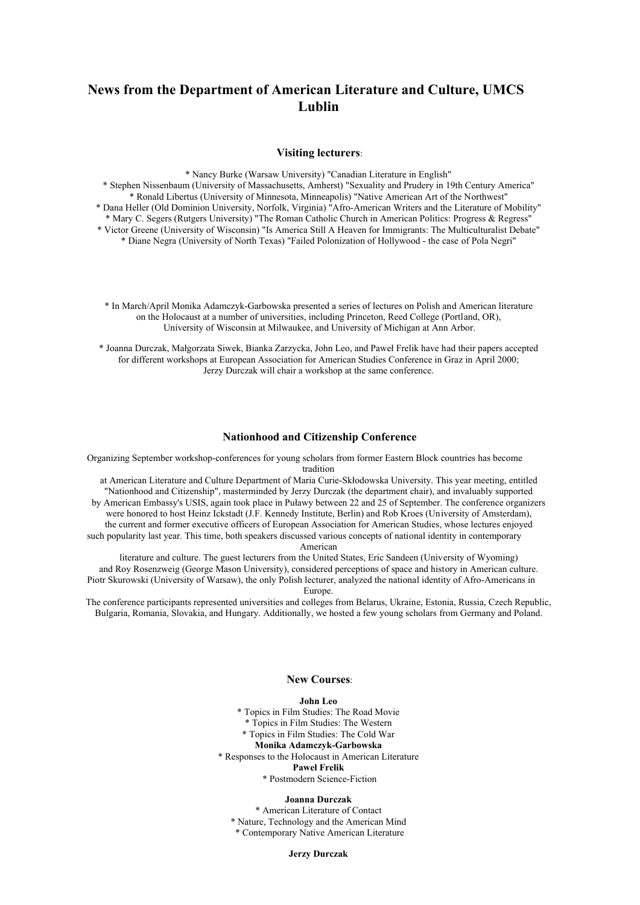# **News from the Department of American Literature and Culture, UMCS Lublin**

#### **Visiting lecturers**:

\* Nancy Burke (Warsaw University) "Canadian Literature in English"

\* Stephen Nissenbaum (University of Massachusetts, Amherst) "Sexuality and Prudery in 19th Century America" \* Ronald Libertus (University of Minnesota, Minneapolis) "Native American Art of the Northwest" \* Dana Heller (Old Dominion University, Norfolk, Virginia) "Afro-American Writers and the Literature of Mobility" \* Mary C. Segers (Rutgers University) "The Roman Catholic Church in American Politics: Progress & Regress" \* Victor Greene (University of Wisconsin) "Is America Still A Heaven for Immigrants: The Multiculturalist Debate" \* Diane Negra (University of North Texas) "Failed Polonization of Hollywood - the case of Pola Negri"

\* In March/April Monika Adamczyk-Garbowska presented a series of lectures on Polish and American literature on the Holocaust at a number of universities, including Princeton, Reed College (Portland, OR), University of Wisconsin at Milwaukee, and University of Michigan at Ann Arbor.

\* Joanna Durczak, Małgorzata Siwek, Bianka Zarzycka, John Leo, and Paweł Frelik have had their papers accepted for different workshops at European Association for American Studies Conference in Graz in April 2000; Jerzy Durczak will chair a workshop at the same conference.

### **Nationhood and Citizenship Conference**

Organizing September workshop-conferences for young scholars from former Eastern Block countries has become tradition

at American Literature and Culture Department of Maria Curie-Skłodowska University. This year meeting, entitled "Nationhood and Citizenship", masterminded by Jerzy Durczak (the department chair), and invaluably supported by American Embassy's USIS, again took place in Puławy between 22 and 25 of September. The conference organizers were honored to host Heinz Ickstadt (J.F. Kennedy Institute, Berlin) and Rob Kroes (University of Amsterdam), the current and former executive officers of European Association for American Studies, whose lectures enjoyed such popularity last year. This time, both speakers discussed various concepts of national identity in contemporary American

literature and culture. The guest lecturers from the United States, Eric Sandeen (University of Wyoming) and Roy Rosenzweig (George Mason University), considered perceptions of space and history in American culture. Piotr Skurowski (University of Warsaw), the only Polish lecturer, analyzed the national identity of Afro-Americans in Europe.

The conference participants represented universities and colleges from Belarus, Ukraine, Estonia, Russia, Czech Republic, Bulgaria, Romania, Slovakia, and Hungary. Additionally, we hosted a few young scholars from Germany and Poland.

### **New Courses**:

#### **John Leo**

\* Topics in Film Studies: The Road Movie

\* Topics in Film Studies: The Western

\* Topics in Film Studies: The Cold War

### **Monika Adamczyk-Garbowska**

\* Responses to the Holocaust in American Literature

#### **Paweł Frelik**

\* Postmodern Science-Fiction

### **Joanna Durczak**

\* American Literature of Contact \* Nature, Technology and the American Mind \* Contemporary Native American Literature

**Jerzy Durczak**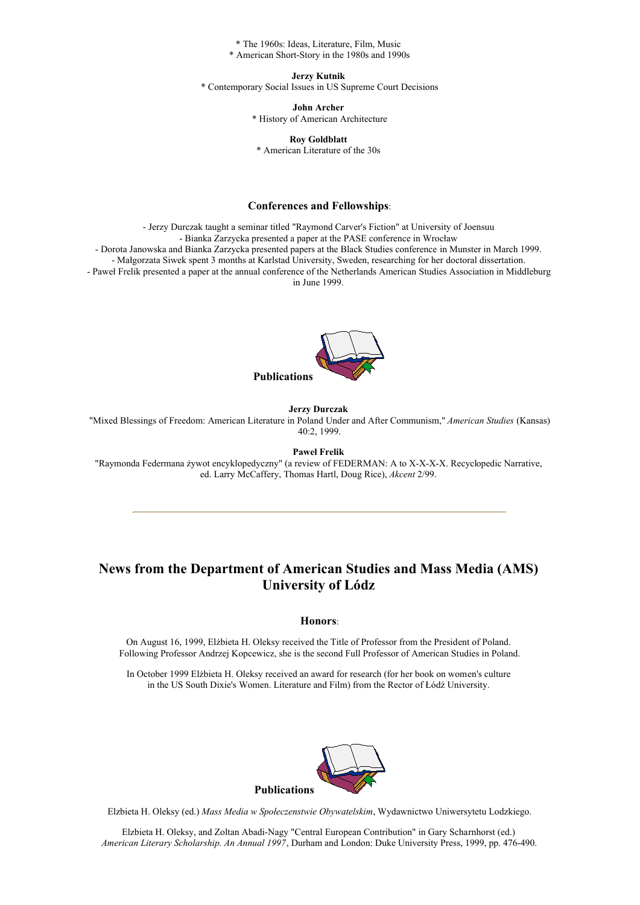\* The 1960s: Ideas, Literature, Film, Music \* American Short-Story in the 1980s and 1990s

**Jerzy Kutnik**

\* Contemporary Social Issues in US Supreme Court Decisions

**John Archer**

\* History of American Architecture

**Roy Goldblatt** \* American Literature of the 30s

### **Conferences and Fellowships**:

- Jerzy Durczak taught a seminar titled "Raymond Carver's Fiction" at University of Joensuu

- Bianka Zarzycka presented a paper at the PASE conference in Wrocław

- Dorota Janowska and Bianka Zarzycka presented papers at the Black Studies conference in Munster in March 1999.

- Małgorzata Siwek spent 3 months at Karlstad University, Sweden, researching for her doctoral dissertation.

- Paweł Frelik presented a paper at the annual conference of the Netherlands American Studies Association in Middleburg in June 1999.



#### **Jerzy Durczak**

"Mixed Blessings of Freedom: American Literature in Poland Under and After Communism," *American Studies* (Kansas) 40:2, 1999.

**Paweł Frelik**

"Raymonda Federmana żywot encyklopedyczny" (a review of FEDERMAN: A to X-X-X-X. Recyclopedic Narrative, ed. Larry McCaffery, Thomas Hartl, Doug Rice), *Akcent* 2/99.

# **News from the Department of American Studies and Mass Media (AMS) University of Lódz**

#### **Honors**:

On August 16, 1999, Elżbieta H. Oleksy received the Title of Professor from the President of Poland. Following Professor Andrzej Kopcewicz, she is the second Full Professor of American Studies in Poland.

In October 1999 Elżbieta H. Oleksy received an award for research (for her book on women's culture in the US South Dixie's Women. Literature and Film) from the Rector of Łódź University.



Elzbieta H. Oleksy (ed.) *Mass Media w Społeczenstwie Obywatelskim*, Wydawnictwo Uniwersytetu Lodzkiego.

Elzbieta H. Oleksy, and Zoltan Abadi-Nagy "Central European Contribution" in Gary Scharnhorst (ed.) *American Literary Scholarship. An Annual 1997*, Durham and London: Duke University Press, 1999, pp. 476-490.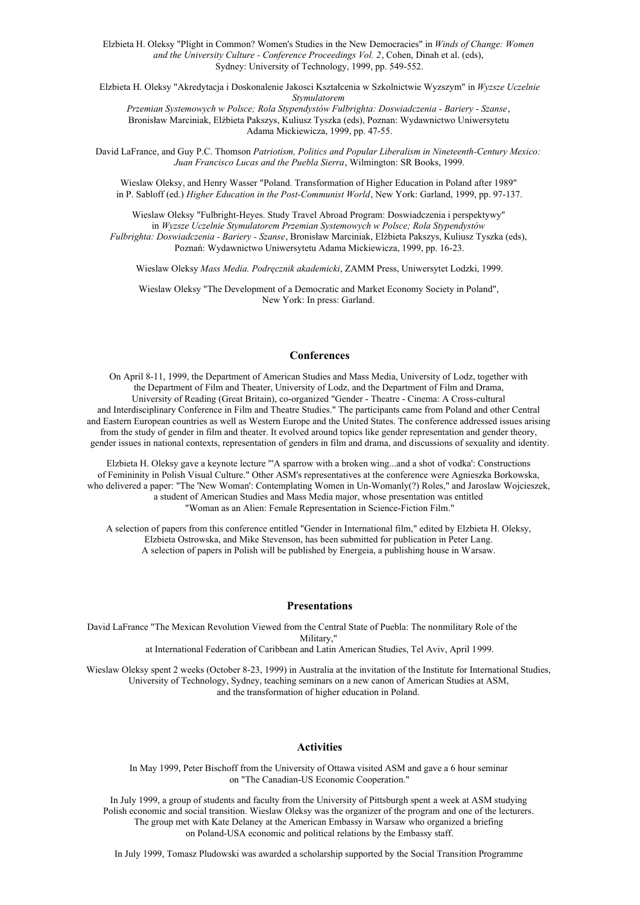Elzbieta H. Oleksy "Plight in Common? Women's Studies in the New Democracies" in *Winds of Change: Women and the University Culture - Conference Proceedings Vol. 2*, Cohen, Dinah et al. (eds), Sydney: University of Technology, 1999, pp. 549-552.

Elzbieta H. Oleksy "Akredytacja i Doskonalenie Jakosci Kształcenia w Szkolnictwie Wyzszym" in *Wyzsze Uczelnie Stymulatorem*

*Przemian Systemowych w Polsce; Rola Stypendystów Fulbrighta: Doswiadczenia - Bariery - Szanse*, Bronisław Marciniak, Elżbieta Pakszys, Kuliusz Tyszka (eds), Poznan: Wydawnictwo Uniwersytetu Adama Mickiewicza, 1999, pp. 47-55.

David LaFrance, and Guy P.C. Thomson *Patriotism, Politics and Popular Liberalism in Nineteenth-Century Mexico: Juan Francisco Lucas and the Puebla Sierra*, Wilmington: SR Books, 1999.

Wieslaw Oleksy, and Henry Wasser "Poland. Transformation of Higher Education in Poland after 1989" in P. Sabloff (ed.) *Higher Education in the Post-Communist World*, New York: Garland, 1999, pp. 97-137.

Wieslaw Oleksy "Fulbright-Heyes. Study Travel Abroad Program: Doswiadczenia i perspektywy" in *Wyzsze Uczelnie Stymulatorem Przemian Systemowych w Polsce; Rola Stypendystów Fulbrighta: Doswiadczenia - Bariery - Szanse*, Bronisław Marciniak, Elżbieta Pakszys, Kuliusz Tyszka (eds), Poznań: Wydawnictwo Uniwersytetu Adama Mickiewicza, 1999, pp. 16-23.

Wieslaw Oleksy *Mass Media. Podręcznik akademicki*, ZAMM Press, Uniwersytet Lodzki, 1999.

Wieslaw Oleksy "The Development of a Democratic and Market Economy Society in Poland", New York: In press: Garland.

#### **Conferences**

On April 8-11, 1999, the Department of American Studies and Mass Media, University of Lodz, together with the Department of Film and Theater, University of Lodz, and the Department of Film and Drama, University of Reading (Great Britain), co-organized "Gender - Theatre - Cinema: A Cross-cultural and Interdisciplinary Conference in Film and Theatre Studies." The participants came from Poland and other Central and Eastern European countries as well as Western Europe and the United States. The conference addressed issues arising from the study of gender in film and theater. It evolved around topics like gender representation and gender theory, gender issues in national contexts, representation of genders in film and drama, and discussions of sexuality and identity.

Elzbieta H. Oleksy gave a keynote lecture "'A sparrow with a broken wing...and a shot of vodka': Constructions of Femininity in Polish Visual Culture." Other ASM's representatives at the conference were Agnieszka Borkowska, who delivered a paper: "The 'New Woman': Contemplating Women in Un-Womanly(?) Roles," and Jaroslaw Wojcieszek, a student of American Studies and Mass Media major, whose presentation was entitled "Woman as an Alien: Female Representation in Science-Fiction Film."

A selection of papers from this conference entitled "Gender in International film," edited by Elzbieta H. Oleksy, Elzbieta Ostrowska, and Mike Stevenson, has been submitted for publication in Peter Lang. A selection of papers in Polish will be published by Energeia, a publishing house in Warsaw.

#### **Presentations**

David LaFrance "The Mexican Revolution Viewed from the Central State of Puebla: The nonmilitary Role of the Military," at International Federation of Caribbean and Latin American Studies, Tel Aviv, April 1999.

Wieslaw Oleksy spent 2 weeks (October 8-23, 1999) in Australia at the invitation of the Institute for International Studies, University of Technology, Sydney, teaching seminars on a new canon of American Studies at ASM, and the transformation of higher education in Poland.

#### **Activities**

In May 1999, Peter Bischoff from the University of Ottawa visited ASM and gave a 6 hour seminar on "The Canadian-US Economic Cooperation."

In July 1999, a group of students and faculty from the University of Pittsburgh spent a week at ASM studying Polish economic and social transition. Wieslaw Oleksy was the organizer of the program and one of the lecturers. The group met with Kate Delaney at the American Embassy in Warsaw who organized a briefing on Poland-USA economic and political relations by the Embassy staff.

In July 1999, Tomasz Pludowski was awarded a scholarship supported by the Social Transition Programme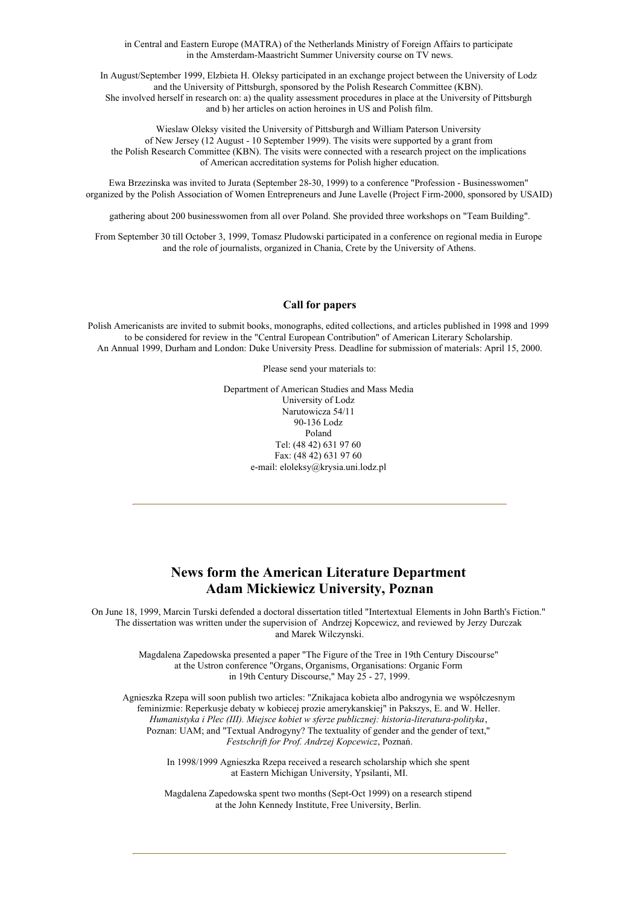in Central and Eastern Europe (MATRA) of the Netherlands Ministry of Foreign Affairs to participate in the Amsterdam-Maastricht Summer University course on TV news.

In August/September 1999, Elzbieta H. Oleksy participated in an exchange project between the University of Lodz and the University of Pittsburgh, sponsored by the Polish Research Committee (KBN). She involved herself in research on: a) the quality assessment procedures in place at the University of Pittsburgh and b) her articles on action heroines in US and Polish film.

Wieslaw Oleksy visited the University of Pittsburgh and William Paterson University of New Jersey (12 August - 10 September 1999). The visits were supported by a grant from the Polish Research Committee (KBN). The visits were connected with a research project on the implications of American accreditation systems for Polish higher education.

Ewa Brzezinska was invited to Jurata (September 28-30, 1999) to a conference "Profession - Businesswomen" organized by the Polish Association of Women Entrepreneurs and June Lavelle (Project Firm-2000, sponsored by USAID)

gathering about 200 businesswomen from all over Poland. She provided three workshops on "Team Building".

From September 30 till October 3, 1999, Tomasz Pludowski participated in a conference on regional media in Europe and the role of journalists, organized in Chania, Crete by the University of Athens.

### **Call for papers**

Polish Americanists are invited to submit books, monographs, edited collections, and articles published in 1998 and 1999 to be considered for review in the "Central European Contribution" of American Literary Scholarship. An Annual 1999, Durham and London: Duke University Press. Deadline for submission of materials: April 15, 2000.

Please send your materials to:

Department of American Studies and Mass Media University of Lodz Narutowicza 54/11 90-136 Lodz Poland Tel: (48 42) 631 97 60 Fax: (48 42) 631 97 60 e-mail: eloleksy@krysia.uni.lodz.pl

### **News form the American Literature Department Adam Mickiewicz University, Poznan**

On June 18, 1999, Marcin Turski defended a doctoral dissertation titled "Intertextual Elements in John Barth's Fiction." The dissertation was written under the supervision of Andrzej Kopcewicz, and reviewed by Jerzy Durczak and Marek Wilczynski.

> Magdalena Zapedowska presented a paper "The Figure of the Tree in 19th Century Discourse" at the Ustron conference "Organs, Organisms, Organisations: Organic Form in 19th Century Discourse," May 25 - 27, 1999.

Agnieszka Rzepa will soon publish two articles: "Znikajaca kobieta albo androgynia we współczesnym feminizmie: Reperkusje debaty w kobiecej prozie amerykanskiej" in Pakszys, E. and W. Heller. *Humanistyka i Plec (III). Miejsce kobiet w sferze publicznej: historia-literatura-polityka*, Poznan: UAM; and "Textual Androgyny? The textuality of gender and the gender of text," *Festschrift for Prof. Andrzej Kopcewicz*, Poznań.

> In 1998/1999 Agnieszka Rzepa received a research scholarship which she spent at Eastern Michigan University, Ypsilanti, MI.

> Magdalena Zapedowska spent two months (Sept-Oct 1999) on a research stipend at the John Kennedy Institute, Free University, Berlin.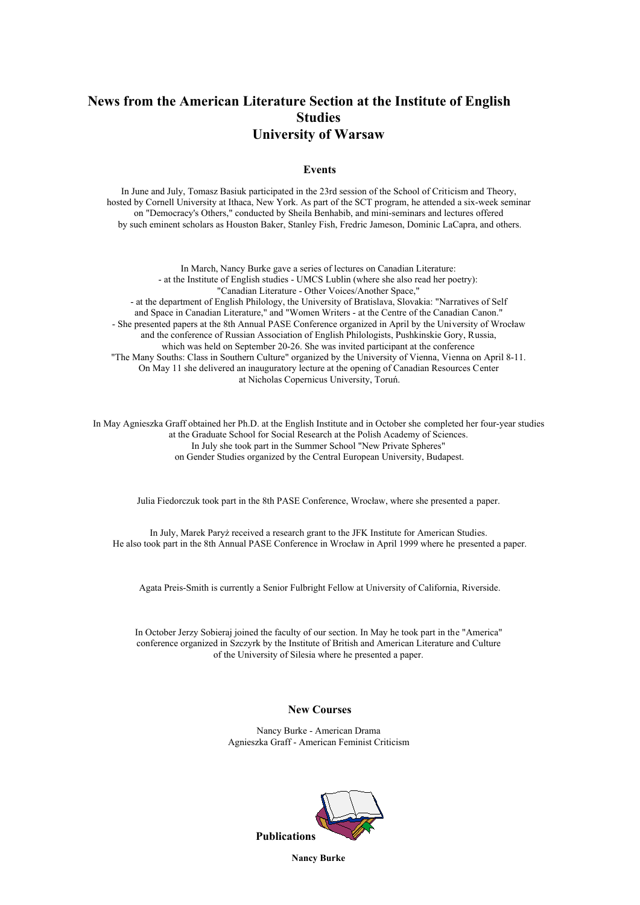# **News from the American Literature Section at the Institute of English Studies University of Warsaw**

### **Events**

In June and July, Tomasz Basiuk participated in the 23rd session of the School of Criticism and Theory, hosted by Cornell University at Ithaca, New York. As part of the SCT program, he attended a six-week seminar on "Democracy's Others," conducted by Sheila Benhabib, and mini-seminars and lectures offered by such eminent scholars as Houston Baker, Stanley Fish, Fredric Jameson, Dominic LaCapra, and others.

In March, Nancy Burke gave a series of lectures on Canadian Literature: - at the Institute of English studies - UMCS Lublin (where she also read her poetry): "Canadian Literature - Other Voices/Another Space," - at the department of English Philology, the University of Bratislava, Slovakia: "Narratives of Self and Space in Canadian Literature," and "Women Writers - at the Centre of the Canadian Canon." - She presented papers at the 8th Annual PASE Conference organized in April by the University of Wrocław and the conference of Russian Association of English Philologists, Pushkinskie Gory, Russia, which was held on September 20-26. She was invited participant at the conference "The Many Souths: Class in Southern Culture" organized by the University of Vienna, Vienna on April 8-11. On May 11 she delivered an inauguratory lecture at the opening of Canadian Resources Center at Nicholas Copernicus University, Toruń.

In May Agnieszka Graff obtained her Ph.D. at the English Institute and in October she completed her four-year studies at the Graduate School for Social Research at the Polish Academy of Sciences. In July she took part in the Summer School "New Private Spheres" on Gender Studies organized by the Central European University, Budapest.

Julia Fiedorczuk took part in the 8th PASE Conference, Wrocław, where she presented a paper.

In July, Marek Paryż received a research grant to the JFK Institute for American Studies. He also took part in the 8th Annual PASE Conference in Wrocław in April 1999 where he presented a paper.

Agata Preis-Smith is currently a Senior Fulbright Fellow at University of California, Riverside.

In October Jerzy Sobieraj joined the faculty of our section. In May he took part in the "America" conference organized in Szczyrk by the Institute of British and American Literature and Culture of the University of Silesia where he presented a paper.

### **New Courses**

Nancy Burke - American Drama Agnieszka Graff - American Feminist Criticism



**Nancy Burke**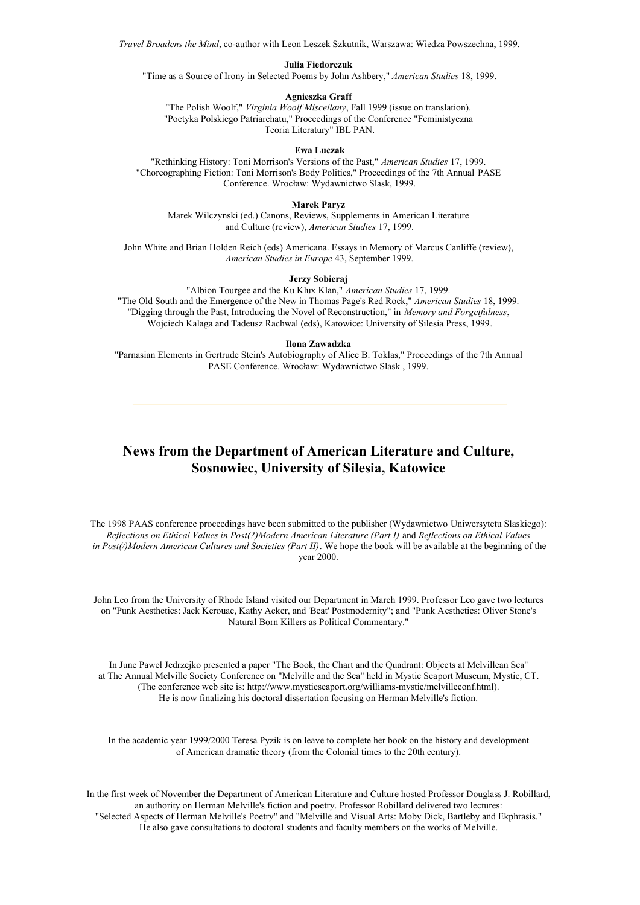*Travel Broadens the Mind*, co-author with Leon Leszek Szkutnik, Warszawa: Wiedza Powszechna, 1999.

#### **Julia Fiedorczuk**

"Time as a Source of Irony in Selected Poems by John Ashbery," *American Studies* 18, 1999.

#### **Agnieszka Graff**

"The Polish Woolf," *Virginia Woolf Miscellany*, Fall 1999 (issue on translation). "Poetyka Polskiego Patriarchatu," Proceedings of the Conference "Feministyczna Teoria Literatury" IBL PAN.

#### **Ewa Luczak**

"Rethinking History: Toni Morrison's Versions of the Past," *American Studies* 17, 1999. "Choreographing Fiction: Toni Morrison's Body Politics," Proceedings of the 7th Annual PASE Conference. Wrocław: Wydawnictwo Slask, 1999.

#### **Marek Paryz**

Marek Wilczynski (ed.) Canons, Reviews, Supplements in American Literature and Culture (review), *American Studies* 17, 1999.

John White and Brian Holden Reich (eds) Americana. Essays in Memory of Marcus Canliffe (review), *American Studies in Europe* 43, September 1999.

#### **Jerzy Sobieraj**

"Albion Tourgee and the Ku Klux Klan," *American Studies* 17, 1999. "The Old South and the Emergence of the New in Thomas Page's Red Rock," *American Studies* 18, 1999. "Digging through the Past, Introducing the Novel of Reconstruction," in *Memory and Forgetfulness*, Wojciech Kalaga and Tadeusz Rachwal (eds), Katowice: University of Silesia Press, 1999.

#### **Ilona Zawadzka**

"Parnasian Elements in Gertrude Stein's Autobiography of Alice B. Toklas," Proceedings of the 7th Annual PASE Conference. Wrocław: Wydawnictwo Slask , 1999.

### **News from the Department of American Literature and Culture, Sosnowiec, University of Silesia, Katowice**

The 1998 PAAS conference proceedings have been submitted to the publisher (Wydawnictwo Uniwersytetu Slaskiego): *Reflections on Ethical Values in Post(?)Modern American Literature (Part I)* and *Reflections on Ethical Values in Post(/)Modern American Cultures and Societies (Part II)*. We hope the book will be available at the beginning of the year 2000.

John Leo from the University of Rhode Island visited our Department in March 1999. Professor Leo gave two lectures on "Punk Aesthetics: Jack Kerouac, Kathy Acker, and 'Beat' Postmodernity"; and "Punk Aesthetics: Oliver Stone's Natural Born Killers as Political Commentary."

In June Paweł Jedrzejko presented a paper "The Book, the Chart and the Quadrant: Objects at Melvillean Sea" at The Annual Melville Society Conference on "Melville and the Sea" held in Mystic Seaport Museum, Mystic, CT. (The conference web site is: http://www.mysticseaport.org/williams-mystic/melvilleconf.html). He is now finalizing his doctoral dissertation focusing on Herman Melville's fiction.

In the academic year 1999/2000 Teresa Pyzik is on leave to complete her book on the history and development of American dramatic theory (from the Colonial times to the 20th century).

In the first week of November the Department of American Literature and Culture hosted Professor Douglass J. Robillard, an authority on Herman Melville's fiction and poetry. Professor Robillard delivered two lectures: "Selected Aspects of Herman Melville's Poetry" and "Melville and Visual Arts: Moby Dick, Bartleby and Ekphrasis." He also gave consultations to doctoral students and faculty members on the works of Melville.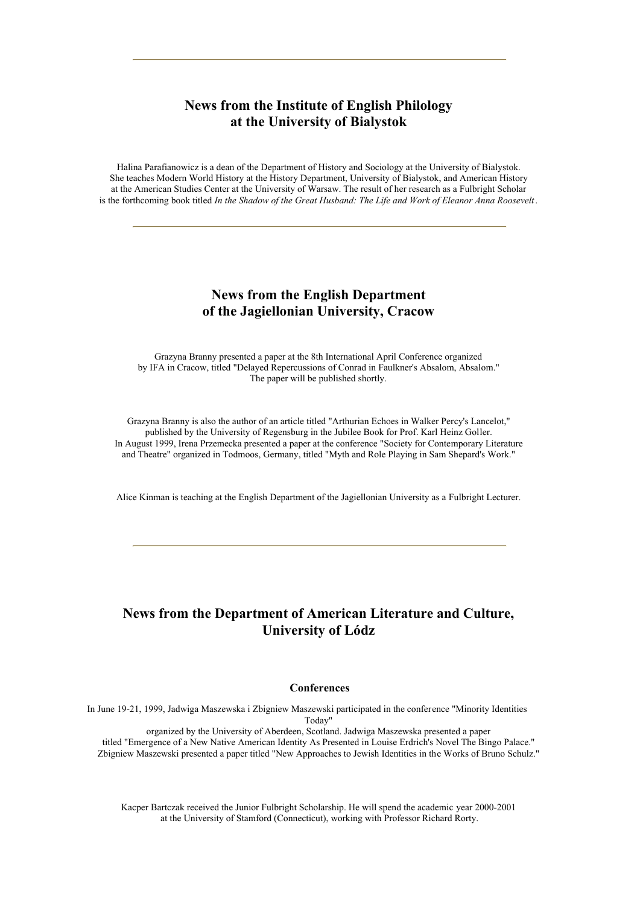# **News from the Institute of English Philology at the University of Bialystok**

Halina Parafianowicz is a dean of the Department of History and Sociology at the University of Bialystok. She teaches Modern World History at the History Department, University of Bialystok, and American History at the American Studies Center at the University of Warsaw. The result of her research as a Fulbright Scholar is the forthcoming book titled *In the Shadow of the Great Husband: The Life and Work of Eleanor Anna Roosevelt*.

### **News from the English Department of the Jagiellonian University, Cracow**

Grazyna Branny presented a paper at the 8th International April Conference organized by IFA in Cracow, titled "Delayed Repercussions of Conrad in Faulkner's Absalom, Absalom." The paper will be published shortly.

Grazyna Branny is also the author of an article titled "Arthurian Echoes in Walker Percy's Lancelot," published by the University of Regensburg in the Jubilee Book for Prof. Karl Heinz Goller. In August 1999, Irena Przemecka presented a paper at the conference "Society for Contemporary Literature and Theatre" organized in Todmoos, Germany, titled "Myth and Role Playing in Sam Shepard's Work."

Alice Kinman is teaching at the English Department of the Jagiellonian University as a Fulbright Lecturer.

# **News from the Department of American Literature and Culture, University of Lódz**

### **Conferences**

In June 19-21, 1999, Jadwiga Maszewska i Zbigniew Maszewski participated in the conference "Minority Identities Today"

organized by the University of Aberdeen, Scotland. Jadwiga Maszewska presented a paper titled "Emergence of a New Native American Identity As Presented in Louise Erdrich's Novel The Bingo Palace." Zbigniew Maszewski presented a paper titled "New Approaches to Jewish Identities in the Works of Bruno Schulz."

Kacper Bartczak received the Junior Fulbright Scholarship. He will spend the academic year 2000-2001 at the University of Stamford (Connecticut), working with Professor Richard Rorty.